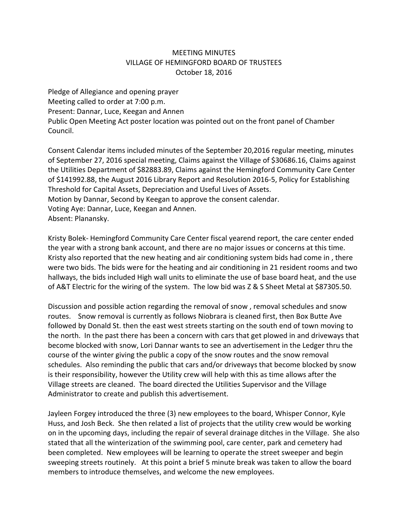## MEETING MINUTES VILLAGE OF HEMINGFORD BOARD OF TRUSTEES October 18, 2016

Pledge of Allegiance and opening prayer Meeting called to order at 7:00 p.m. Present: Dannar, Luce, Keegan and Annen Public Open Meeting Act poster location was pointed out on the front panel of Chamber Council.

Consent Calendar items included minutes of the September 20,2016 regular meeting, minutes of September 27, 2016 special meeting, Claims against the Village of \$30686.16, Claims against the Utilities Department of \$82883.89, Claims against the Hemingford Community Care Center of \$141992.88, the August 2016 Library Report and Resolution 2016‐5, Policy for Establishing Threshold for Capital Assets, Depreciation and Useful Lives of Assets. Motion by Dannar, Second by Keegan to approve the consent calendar. Voting Aye: Dannar, Luce, Keegan and Annen. Absent: Planansky.

Kristy Bolek‐ Hemingford Community Care Center fiscal yearend report, the care center ended the year with a strong bank account, and there are no major issues or concerns at this time. Kristy also reported that the new heating and air conditioning system bids had come in , there were two bids. The bids were for the heating and air conditioning in 21 resident rooms and two hallways, the bids included High wall units to eliminate the use of base board heat, and the use of A&T Electric for the wiring of the system. The low bid was Z & S Sheet Metal at \$87305.50.

Discussion and possible action regarding the removal of snow , removal schedules and snow routes. Snow removal is currently as follows Niobrara is cleaned first, then Box Butte Ave followed by Donald St. then the east west streets starting on the south end of town moving to the north. In the past there has been a concern with cars that get plowed in and driveways that become blocked with snow, Lori Dannar wants to see an advertisement in the Ledger thru the course of the winter giving the public a copy of the snow routes and the snow removal schedules. Also reminding the public that cars and/or driveways that become blocked by snow is their responsibility, however the Utility crew will help with this as time allows after the Village streets are cleaned. The board directed the Utilities Supervisor and the Village Administrator to create and publish this advertisement.

Jayleen Forgey introduced the three (3) new employees to the board, Whisper Connor, Kyle Huss, and Josh Beck. She then related a list of projects that the utility crew would be working on in the upcoming days, including the repair of several drainage ditches in the Village. She also stated that all the winterization of the swimming pool, care center, park and cemetery had been completed. New employees will be learning to operate the street sweeper and begin sweeping streets routinely. At this point a brief 5 minute break was taken to allow the board members to introduce themselves, and welcome the new employees.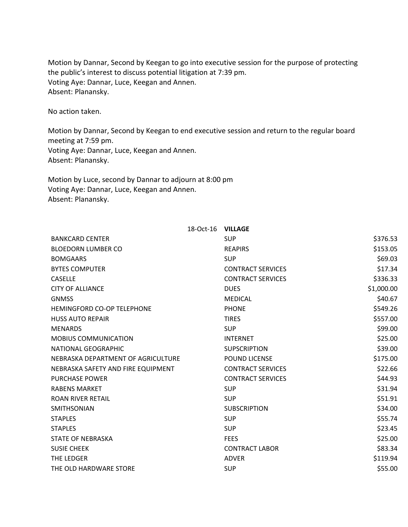Motion by Dannar, Second by Keegan to go into executive session for the purpose of protecting the public's interest to discuss potential litigation at 7:39 pm. Voting Aye: Dannar, Luce, Keegan and Annen. Absent: Planansky.

No action taken.

Motion by Dannar, Second by Keegan to end executive session and return to the regular board meeting at 7:59 pm. Voting Aye: Dannar, Luce, Keegan and Annen. Absent: Planansky.

Motion by Luce, second by Dannar to adjourn at 8:00 pm Voting Aye: Dannar, Luce, Keegan and Annen. Absent: Planansky.

|                                    | 18-Oct-16 | <b>VILLAGE</b>           |            |
|------------------------------------|-----------|--------------------------|------------|
| <b>BANKCARD CENTER</b>             |           | <b>SUP</b>               | \$376.53   |
| <b>BLOEDORN LUMBER CO</b>          |           | <b>REAPIRS</b>           | \$153.05   |
| <b>BOMGAARS</b>                    |           | <b>SUP</b>               | \$69.03    |
| <b>BYTES COMPUTER</b>              |           | <b>CONTRACT SERVICES</b> | \$17.34    |
| <b>CASELLE</b>                     |           | <b>CONTRACT SERVICES</b> | \$336.33   |
| <b>CITY OF ALLIANCE</b>            |           | <b>DUES</b>              | \$1,000.00 |
| <b>GNMSS</b>                       |           | <b>MEDICAL</b>           | \$40.67    |
| <b>HEMINGFORD CO-OP TELEPHONE</b>  |           | <b>PHONE</b>             | \$549.26   |
| <b>HUSS AUTO REPAIR</b>            |           | <b>TIRES</b>             | \$557.00   |
| <b>MENARDS</b>                     |           | <b>SUP</b>               | \$99.00    |
| <b>MOBIUS COMMUNICATION</b>        |           | <b>INTERNET</b>          | \$25.00    |
| NATIONAL GEOGRAPHIC                |           | <b>SUPSCRIPTION</b>      | \$39.00    |
| NEBRASKA DEPARTMENT OF AGRICULTURE |           | <b>POUND LICENSE</b>     | \$175.00   |
| NEBRASKA SAFETY AND FIRE EQUIPMENT |           | <b>CONTRACT SERVICES</b> | \$22.66    |
| <b>PURCHASE POWER</b>              |           | <b>CONTRACT SERVICES</b> | \$44.93    |
| <b>RABENS MARKET</b>               |           | <b>SUP</b>               | \$31.94    |
| <b>ROAN RIVER RETAIL</b>           |           | <b>SUP</b>               | \$51.91    |
| <b>SMITHSONIAN</b>                 |           | <b>SUBSCRIPTION</b>      | \$34.00    |
| <b>STAPLES</b>                     |           | <b>SUP</b>               | \$55.74    |
| <b>STAPLES</b>                     |           | <b>SUP</b>               | \$23.45    |
| <b>STATE OF NEBRASKA</b>           |           | <b>FEES</b>              | \$25.00    |
| <b>SUSIE CHEEK</b>                 |           | <b>CONTRACT LABOR</b>    | \$83.34    |
| THE LEDGER                         |           | <b>ADVER</b>             | \$119.94   |
| THE OLD HARDWARE STORE             |           | <b>SUP</b>               | \$55.00    |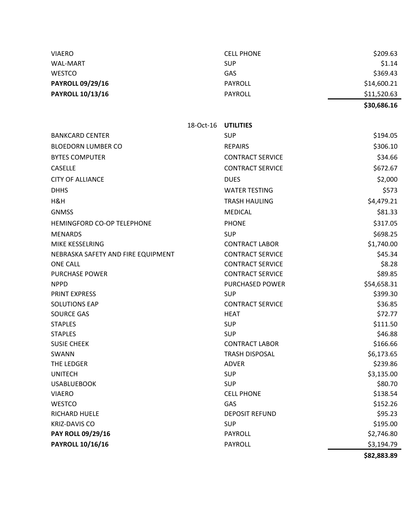| <b>VIAERO</b>                      |                     | <b>CELL PHONE</b>       | \$209.63    |
|------------------------------------|---------------------|-------------------------|-------------|
| <b>WAL-MART</b>                    |                     | <b>SUP</b>              | \$1.14      |
| <b>WESTCO</b>                      |                     | GAS                     | \$369.43    |
| <b>PAYROLL 09/29/16</b>            |                     | <b>PAYROLL</b>          | \$14,600.21 |
| <b>PAYROLL 10/13/16</b>            |                     | <b>PAYROLL</b>          | \$11,520.63 |
|                                    |                     |                         | \$30,686.16 |
|                                    | 18-Oct-16 UTILITIES |                         |             |
| <b>BANKCARD CENTER</b>             |                     | <b>SUP</b>              | \$194.05    |
|                                    |                     |                         |             |
| <b>BLOEDORN LUMBER CO</b>          |                     | <b>REPAIRS</b>          | \$306.10    |
| <b>BYTES COMPUTER</b>              |                     | <b>CONTRACT SERVICE</b> | \$34.66     |
| <b>CASELLE</b>                     |                     | <b>CONTRACT SERVICE</b> | \$672.67    |
| <b>CITY OF ALLIANCE</b>            |                     | <b>DUES</b>             | \$2,000     |
| <b>DHHS</b>                        |                     | <b>WATER TESTING</b>    | \$573       |
| H&H                                |                     | <b>TRASH HAULING</b>    | \$4,479.21  |
| <b>GNMSS</b>                       |                     | <b>MEDICAL</b>          | \$81.33     |
| HEMINGFORD CO-OP TELEPHONE         |                     | <b>PHONE</b>            | \$317.05    |
| <b>MENARDS</b>                     |                     | <b>SUP</b>              | \$698.25    |
| MIKE KESSELRING                    |                     | <b>CONTRACT LABOR</b>   | \$1,740.00  |
| NEBRASKA SAFETY AND FIRE EQUIPMENT |                     | <b>CONTRACT SERVICE</b> | \$45.34     |
| <b>ONE CALL</b>                    |                     | <b>CONTRACT SERVICE</b> | \$8.28      |
| <b>PURCHASE POWER</b>              |                     | <b>CONTRACT SERVICE</b> | \$89.85     |
| <b>NPPD</b>                        |                     | PURCHASED POWER         | \$54,658.31 |
| <b>PRINT EXPRESS</b>               |                     | <b>SUP</b>              | \$399.30    |
| <b>SOLUTIONS EAP</b>               |                     | <b>CONTRACT SERVICE</b> | \$36.85     |
| <b>SOURCE GAS</b>                  |                     | <b>HEAT</b>             | \$72.77     |
| <b>STAPLES</b>                     |                     | <b>SUP</b>              | \$111.50    |
| <b>STAPLES</b>                     |                     | <b>SUP</b>              | \$46.88     |
| <b>SUSIE CHEEK</b>                 |                     | <b>CONTRACT LABOR</b>   | \$166.66    |
| SWANN                              |                     | <b>TRASH DISPOSAL</b>   | \$6,173.65  |
| THE LEDGER                         |                     | ADVER                   | \$239.86    |
| <b>UNITECH</b>                     |                     | <b>SUP</b>              | \$3,135.00  |
| <b>USABLUEBOOK</b>                 |                     | <b>SUP</b>              | \$80.70     |
| <b>VIAERO</b>                      |                     | <b>CELL PHONE</b>       | \$138.54    |
| WESTCO                             |                     | GAS                     | \$152.26    |
| RICHARD HUELE                      |                     | <b>DEPOSIT REFUND</b>   | \$95.23     |
| <b>KRIZ-DAVIS CO</b>               |                     | <b>SUP</b>              | \$195.00    |
| PAY ROLL 09/29/16                  |                     | PAYROLL                 | \$2,746.80  |
| <b>PAYROLL 10/16/16</b>            |                     | PAYROLL                 | \$3,194.79  |
|                                    |                     |                         | \$82,883.89 |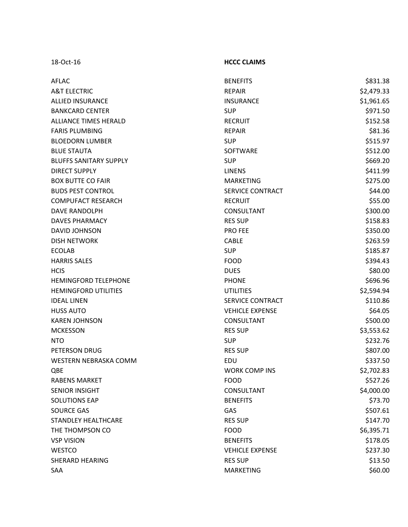18 ‐Oct

## ‐16 **HCCC CLAIMS**

| <b>AFLAC</b>                  | <b>BENEFITS</b>         | \$831.38   |
|-------------------------------|-------------------------|------------|
| <b>A&amp;T ELECTRIC</b>       | <b>REPAIR</b>           | \$2,479.33 |
| <b>ALLIED INSURANCE</b>       | <b>INSURANCE</b>        | \$1,961.65 |
| <b>BANKCARD CENTER</b>        | <b>SUP</b>              | \$971.50   |
| <b>ALLIANCE TIMES HERALD</b>  | <b>RECRUIT</b>          | \$152.58   |
| <b>FARIS PLUMBING</b>         | <b>REPAIR</b>           | \$81.36    |
| <b>BLOEDORN LUMBER</b>        | <b>SUP</b>              | \$515.97   |
| <b>BLUE STAUTA</b>            | <b>SOFTWARE</b>         | \$512.00   |
| <b>BLUFFS SANITARY SUPPLY</b> | <b>SUP</b>              | \$669.20   |
| <b>DIRECT SUPPLY</b>          | <b>LINENS</b>           | \$411.99   |
| <b>BOX BUTTE CO FAIR</b>      | <b>MARKETING</b>        | \$275.00   |
| <b>BUDS PEST CONTROL</b>      | SERVICE CONTRACT        | \$44.00    |
| <b>COMPUFACT RESEARCH</b>     | <b>RECRUIT</b>          | \$55.00    |
| DAVE RANDOLPH                 | <b>CONSULTANT</b>       | \$300.00   |
| <b>DAVES PHARMACY</b>         | <b>RES SUP</b>          | \$158.83   |
| <b>DAVID JOHNSON</b>          | <b>PRO FEE</b>          | \$350.00   |
| <b>DISH NETWORK</b>           | <b>CABLE</b>            | \$263.59   |
| <b>ECOLAB</b>                 | <b>SUP</b>              | \$185.87   |
| <b>HARRIS SALES</b>           | <b>FOOD</b>             | \$394.43   |
| <b>HCIS</b>                   | <b>DUES</b>             | \$80.00    |
| <b>HEMINGFORD TELEPHONE</b>   | <b>PHONE</b>            | \$696.96   |
| <b>HEMINGFORD UTILITIES</b>   | <b>UTILITIES</b>        | \$2,594.94 |
| <b>IDEAL LINEN</b>            | <b>SERVICE CONTRACT</b> | \$110.86   |
| <b>HUSS AUTO</b>              | <b>VEHICLE EXPENSE</b>  | \$64.05    |
| <b>KAREN JOHNSON</b>          | CONSULTANT              | \$500.00   |
| <b>MCKESSON</b>               | <b>RES SUP</b>          | \$3,553.62 |
| <b>NTO</b>                    | <b>SUP</b>              | \$232.76   |
| PETERSON DRUG                 | <b>RES SUP</b>          | \$807.00   |
| WESTERN NEBRASKA COMM         | EDU                     | \$337.50   |
| QBE                           | <b>WORK COMP INS</b>    | \$2,702.83 |
| <b>RABENS MARKET</b>          | <b>FOOD</b>             | \$527.26   |
| <b>SENIOR INSIGHT</b>         | CONSULTANT              | \$4,000.00 |
| <b>SOLUTIONS EAP</b>          | <b>BENEFITS</b>         | \$73.70    |
| <b>SOURCE GAS</b>             | GAS                     | \$507.61   |
| <b>STANDLEY HEALTHCARE</b>    | <b>RES SUP</b>          | \$147.70   |
| THE THOMPSON CO               | <b>FOOD</b>             | \$6,395.71 |
| <b>VSP VISION</b>             | <b>BENEFITS</b>         | \$178.05   |
| <b>WESTCO</b>                 | <b>VEHICLE EXPENSE</b>  | \$237.30   |
| <b>SHERARD HEARING</b>        | <b>RES SUP</b>          | \$13.50    |
| SAA                           | <b>MARKETING</b>        | \$60.00    |